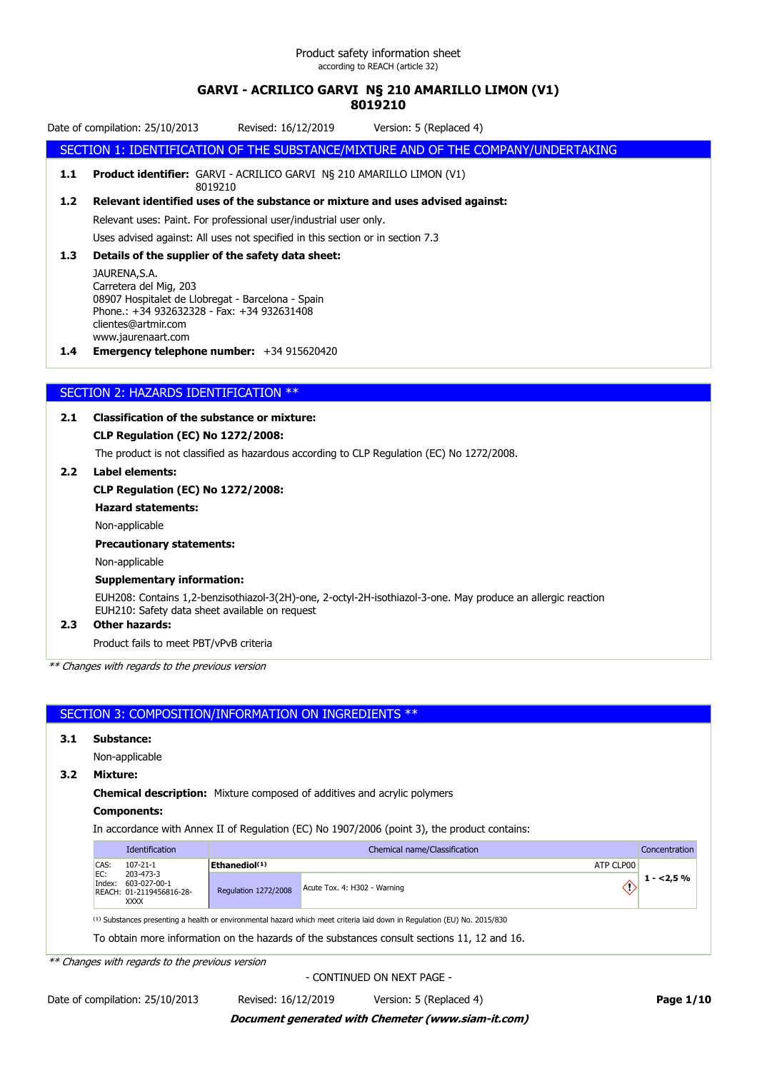# **GARVI - ACRILICO GARVI N§ 210 AMARILLO LIMON (V1)**

# **8019210**

Date of compilation: 25/10/2013 Revised: 16/12/2019 Version: 5 (Replaced 4)

SECTION 1: IDENTIFICATION OF THE SUBSTANCE/MIXTURE AND OF THE COMPANY/UNDERTAKING

**1.1 Product identifier:** GARVI - ACRILICO GARVI N§ 210 AMARILLO LIMON (V1) 8019210

**1.2 Relevant identified uses of the substance or mixture and uses advised against:**

Relevant uses: Paint. For professional user/industrial user only.

Uses advised against: All uses not specified in this section or in section 7.3

### **1.3 Details of the supplier of the safety data sheet:**

JAURENA,S.A. Carretera del Mig, 203 08907 Hospitalet de Llobregat - Barcelona - Spain Phone.: +34 932632328 - Fax: +34 932631408 clientes@artmir.com www.jaurenaart.com

**1.4 Emergency telephone number:** +34 915620420

### SECTION 2: HAZARDS IDENTIFICATION \*\*

### **2.1 Classification of the substance or mixture:**

### **CLP Regulation (EC) No 1272/2008:**

The product is not classified as hazardous according to CLP Regulation (EC) No 1272/2008.

### **2.2 Label elements:**

### **CLP Regulation (EC) No 1272/2008:**

**Hazard statements:**

Non-applicable

### **Precautionary statements:**

Non-applicable

### **Supplementary information:**

EUH208: Contains 1,2-benzisothiazol-3(2H)-one, 2-octyl-2H-isothiazol-3-one. May produce an allergic reaction EUH210: Safety data sheet available on request

### **2.3 Other hazards:**

Product fails to meet PBT/vPvB criteria

*\*\* Changes with regards to the previous version*

### SECTION 3: COMPOSITION/INFORMATION ON INGREDIENTS \*\*

### **3.1 Substance:**

Non-applicable

**3.2 Mixture:**

**Chemical description:** Mixture composed of additives and acrylic polymers

### **Components:**

In accordance with Annex II of Regulation (EC) No 1907/2006 (point 3), the product contains:

|        | <b>Identification</b>                                                       | Chemical name/Classification |                                                                                                                                     |             |  |
|--------|-----------------------------------------------------------------------------|------------------------------|-------------------------------------------------------------------------------------------------------------------------------------|-------------|--|
| CAS:   | $107 - 21 - 1$                                                              | Ethanediol $(1)$             | ATP CLP00                                                                                                                           |             |  |
| Index: | EC:<br>203-473-3<br>603-027-00-1<br>REACH: 01-2119456816-28-<br><b>XXXX</b> | <b>Regulation 1272/2008</b>  | Acute Tox. 4: H302 - Warning                                                                                                        | $1 - 2.5\%$ |  |
|        |                                                                             |                              | <sup>(1)</sup> Substances presenting a health or environmental hazard which meet criteria laid down in Regulation (EU) No. 2015/830 |             |  |

To obtain more information on the hazards of the substances consult sections 11, 12 and 16.

*\*\* Changes with regards to the previous version*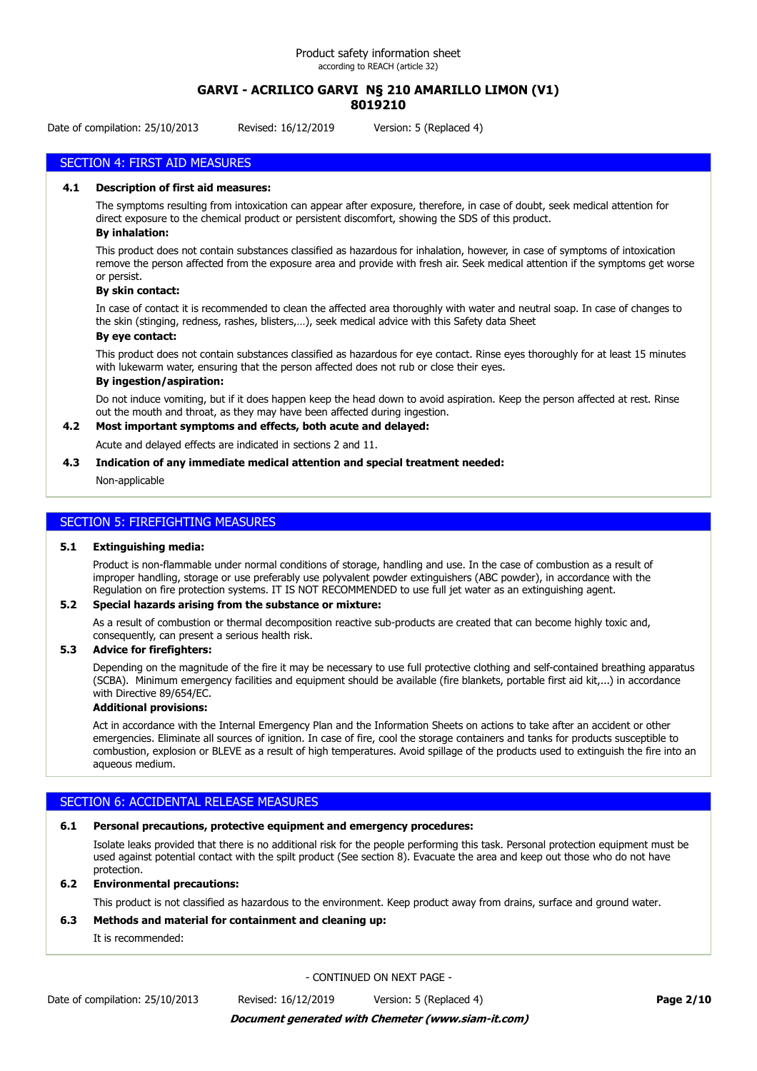### **GARVI - ACRILICO GARVI N§ 210 AMARILLO LIMON (V1) 8019210**

Date of compilation: 25/10/2013 Revised: 16/12/2019 Version: 5 (Replaced 4)

# SECTION 4: FIRST AID MEASURES

#### **4.1 Description of first aid measures:**

The symptoms resulting from intoxication can appear after exposure, therefore, in case of doubt, seek medical attention for direct exposure to the chemical product or persistent discomfort, showing the SDS of this product.

### **By inhalation:**

This product does not contain substances classified as hazardous for inhalation, however, in case of symptoms of intoxication remove the person affected from the exposure area and provide with fresh air. Seek medical attention if the symptoms get worse or persist.

#### **By skin contact:**

In case of contact it is recommended to clean the affected area thoroughly with water and neutral soap. In case of changes to the skin (stinging, redness, rashes, blisters,…), seek medical advice with this Safety data Sheet

### **By eye contact:**

This product does not contain substances classified as hazardous for eye contact. Rinse eyes thoroughly for at least 15 minutes with lukewarm water, ensuring that the person affected does not rub or close their eyes.

### **By ingestion/aspiration:**

Do not induce vomiting, but if it does happen keep the head down to avoid aspiration. Keep the person affected at rest. Rinse out the mouth and throat, as they may have been affected during ingestion.

### **4.2 Most important symptoms and effects, both acute and delayed:**

Acute and delayed effects are indicated in sections 2 and 11.

#### **4.3 Indication of any immediate medical attention and special treatment needed:**

Non-applicable

### SECTION 5: FIREFIGHTING MEASURES

#### **5.1 Extinguishing media:**

Product is non-flammable under normal conditions of storage, handling and use. In the case of combustion as a result of improper handling, storage or use preferably use polyvalent powder extinguishers (ABC powder), in accordance with the Regulation on fire protection systems. IT IS NOT RECOMMENDED to use full jet water as an extinguishing agent.

#### **5.2 Special hazards arising from the substance or mixture:**

As a result of combustion or thermal decomposition reactive sub-products are created that can become highly toxic and, consequently, can present a serious health risk.

### **5.3 Advice for firefighters:**

Depending on the magnitude of the fire it may be necessary to use full protective clothing and self-contained breathing apparatus (SCBA). Minimum emergency facilities and equipment should be available (fire blankets, portable first aid kit,...) in accordance with Directive 89/654/EC.

### **Additional provisions:**

Act in accordance with the Internal Emergency Plan and the Information Sheets on actions to take after an accident or other emergencies. Eliminate all sources of ignition. In case of fire, cool the storage containers and tanks for products susceptible to combustion, explosion or BLEVE as a result of high temperatures. Avoid spillage of the products used to extinguish the fire into an aqueous medium.

### SECTION 6: ACCIDENTAL RELEASE MEASURES

### **6.1 Personal precautions, protective equipment and emergency procedures:**

Isolate leaks provided that there is no additional risk for the people performing this task. Personal protection equipment must be used against potential contact with the spilt product (See section 8). Evacuate the area and keep out those who do not have protection.

#### **6.2 Environmental precautions:**

This product is not classified as hazardous to the environment. Keep product away from drains, surface and ground water.

### **6.3 Methods and material for containment and cleaning up:**

It is recommended:

- CONTINUED ON NEXT PAGE -

### *Document generated with Chemeter (www.siam-it.com)*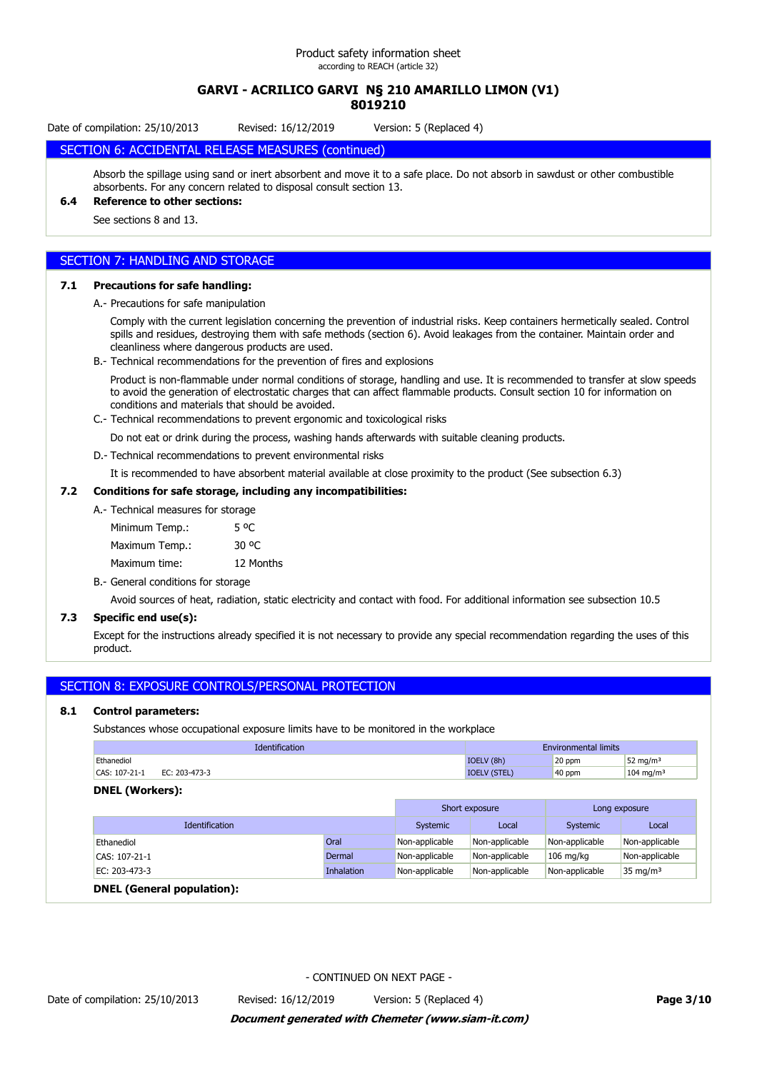### **GARVI - ACRILICO GARVI N§ 210 AMARILLO LIMON (V1) 8019210**

Date of compilation: 25/10/2013 Revised: 16/12/2019 Version: 5 (Replaced 4)

# SECTION 6: ACCIDENTAL RELEASE MEASURES (continued)

Absorb the spillage using sand or inert absorbent and move it to a safe place. Do not absorb in sawdust or other combustible absorbents. For any concern related to disposal consult section 13.

# **6.4 Reference to other sections:**

See sections 8 and 13.

### SECTION 7: HANDLING AND STORAGE

#### **7.1 Precautions for safe handling:**

A.- Precautions for safe manipulation

Comply with the current legislation concerning the prevention of industrial risks. Keep containers hermetically sealed. Control spills and residues, destroying them with safe methods (section 6). Avoid leakages from the container. Maintain order and cleanliness where dangerous products are used.

B.- Technical recommendations for the prevention of fires and explosions

Product is non-flammable under normal conditions of storage, handling and use. It is recommended to transfer at slow speeds to avoid the generation of electrostatic charges that can affect flammable products. Consult section 10 for information on conditions and materials that should be avoided.

C.- Technical recommendations to prevent ergonomic and toxicological risks

Do not eat or drink during the process, washing hands afterwards with suitable cleaning products.

D.- Technical recommendations to prevent environmental risks

It is recommended to have absorbent material available at close proximity to the product (See subsection 6.3)

### **7.2 Conditions for safe storage, including any incompatibilities:**

| A. Technical measures for storage |                  |
|-----------------------------------|------------------|
| Minimum Temp.:                    | 5 <sup>o</sup> C |
| Maximum Temp.:                    | 30 °C            |
| Maximum time:                     | 12 Months        |

B.- General conditions for storage

Avoid sources of heat, radiation, static electricity and contact with food. For additional information see subsection 10.5

### **7.3 Specific end use(s):**

Except for the instructions already specified it is not necessary to provide any special recommendation regarding the uses of this product.

### SECTION 8: EXPOSURE CONTROLS/PERSONAL PROTECTION

### **8.1 Control parameters:**

Substances whose occupational exposure limits have to be monitored in the workplace

| cation                            |            | <b>Environmental limits</b> |                       |
|-----------------------------------|------------|-----------------------------|-----------------------|
| Ethanediol                        | IOELV (8h) | 20 ppm                      | 52 mg/m <sup>3</sup>  |
| CAS: 107-21-1<br>203-473-3<br>FC. |            | 40 ppm                      | 104 mg/m <sup>3</sup> |

### **DNEL (Workers):**

|                       |            | Short exposure |                | Long exposure  |                |
|-----------------------|------------|----------------|----------------|----------------|----------------|
| <b>Identification</b> |            | Systemic       | Local          | Systemic       | Local          |
| Ethanediol            | Oral       | Non-applicable | Non-applicable | Non-applicable | Non-applicable |
| CAS: 107-21-1         | Dermal     | Non-applicable | Non-applicable | $106$ mg/kg    | Non-applicable |
| EC: 203-473-3         | Inhalation | Non-applicable | Non-applicable | Non-applicable | 35 mg/m $3$    |
| $B = 1$               |            |                |                |                |                |

### **DNEL (General population):**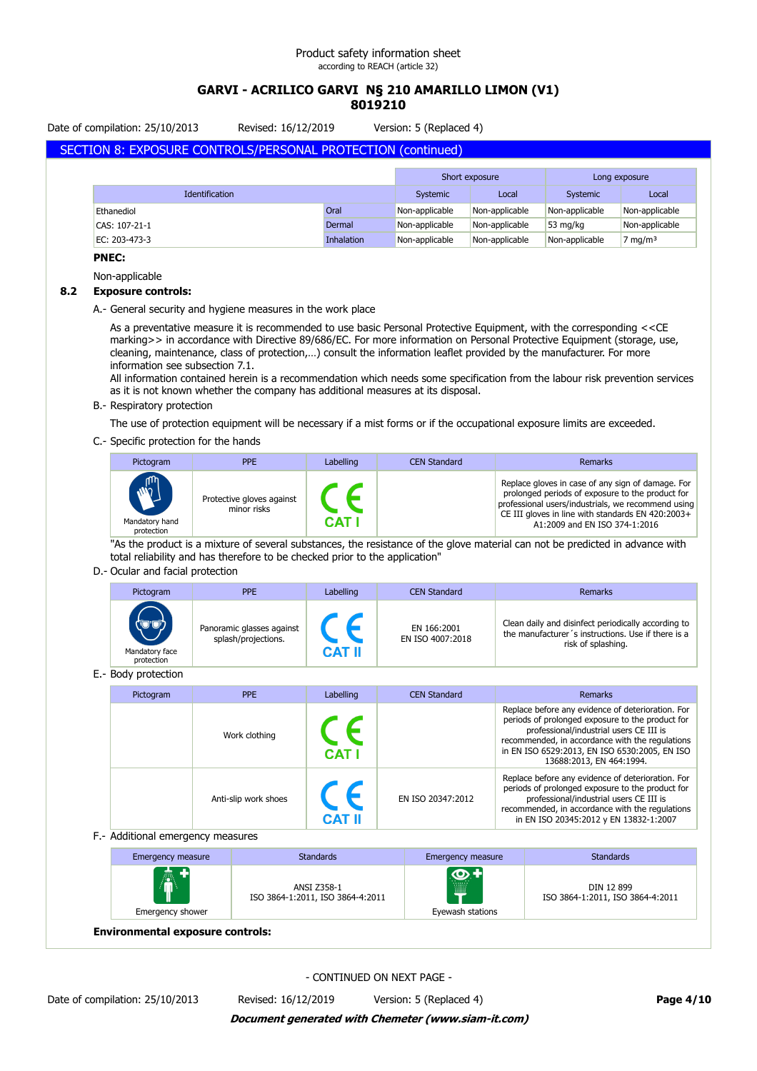# **GARVI - ACRILICO GARVI N§ 210 AMARILLO LIMON (V1) 8019210**

Date of compilation: 25/10/2013 Revised: 16/12/2019 Version: 5 (Replaced 4)

# SECTION 8: EXPOSURE CONTROLS/PERSONAL PROTECTION (continued)

|                       |            | Short exposure |                | Long exposure      |                    |
|-----------------------|------------|----------------|----------------|--------------------|--------------------|
| <b>Identification</b> |            | Systemic       | Local          | Systemic           | Local              |
| Ethanediol            | Oral       | Non-applicable | Non-applicable | Non-applicable     | Non-applicable     |
| CAS: 107-21-1         | Dermal     | Non-applicable | Non-applicable | $53 \text{ mg/kg}$ | Non-applicable     |
| EC: 203-473-3         | Inhalation | Non-applicable | Non-applicable | Non-applicable     | $7 \text{ mg/m}^3$ |

### **PNEC:**

Non-applicable

### **8.2 Exposure controls:**

A.- General security and hygiene measures in the work place

As a preventative measure it is recommended to use basic Personal Protective Equipment, with the corresponding <<CE marking>> in accordance with Directive 89/686/EC. For more information on Personal Protective Equipment (storage, use, cleaning, maintenance, class of protection,…) consult the information leaflet provided by the manufacturer. For more information see subsection 7.1.

All information contained herein is a recommendation which needs some specification from the labour risk prevention services as it is not known whether the company has additional measures at its disposal.

### B.- Respiratory protection

The use of protection equipment will be necessary if a mist forms or if the occupational exposure limits are exceeded.

### C.- Specific protection for the hands

| Pictogram                                   | <b>PPE</b>                               | Labelling | <b>CEN Standard</b> | Remarks                                                                                                                                                                                                                                           |
|---------------------------------------------|------------------------------------------|-----------|---------------------|---------------------------------------------------------------------------------------------------------------------------------------------------------------------------------------------------------------------------------------------------|
| <b>ANTI</b><br>Mandatory hand<br>protection | Protective gloves against<br>minor risks | CAT.      |                     | Replace gloves in case of any sign of damage. For<br>prolonged periods of exposure to the product for<br>professional users/industrials, we recommend using<br>CE III gloves in line with standards EN 420:2003+<br>A1:2009 and EN ISO 374-1:2016 |

"As the product is a mixture of several substances, the resistance of the glove material can not be predicted in advance with total reliability and has therefore to be checked prior to the application"

### D.- Ocular and facial protection

| Pictogram                                       | <b>PPE</b>                                       | Labelling     | <b>CEN Standard</b>             | Remarks                                                                                                                         |
|-------------------------------------------------|--------------------------------------------------|---------------|---------------------------------|---------------------------------------------------------------------------------------------------------------------------------|
| $(\nabla \phi)$<br>Mandatory face<br>protection | Panoramic glasses against<br>splash/projections. | <b>CAT II</b> | EN 166:2001<br>EN ISO 4007:2018 | Clean daily and disinfect periodically according to<br>the manufacturer's instructions. Use if there is a<br>risk of splashing. |

E.- Body protection

| Pictogram | PPE                  | Labelling                 | <b>CEN Standard</b> | Remarks                                                                                                                                                                                                                                                                          |
|-----------|----------------------|---------------------------|---------------------|----------------------------------------------------------------------------------------------------------------------------------------------------------------------------------------------------------------------------------------------------------------------------------|
|           | Work clothing        | <b>CE</b><br><b>CAT I</b> |                     | Replace before any evidence of deterioration. For<br>periods of prolonged exposure to the product for<br>professional/industrial users CE III is<br>recommended, in accordance with the regulations<br>in EN ISO 6529:2013, EN ISO 6530:2005, EN ISO<br>13688:2013, EN 464:1994. |
|           | Anti-slip work shoes | CE<br><b>CAT II</b>       | EN ISO 20347:2012   | Replace before any evidence of deterioration. For<br>periods of prolonged exposure to the product for<br>professional/industrial users CE III is<br>recommended, in accordance with the regulations<br>in EN ISO 20345:2012 y EN 13832-1:2007                                    |

#### F.- Additional emergency measures

| <b>Emergency measure</b> | <b>Standards</b>                                | Emergency measure                               | <b>Standards</b>                               |
|--------------------------|-------------------------------------------------|-------------------------------------------------|------------------------------------------------|
| 卨<br>Emergency shower    | ANSI Z358-1<br>ISO 3864-1:2011, ISO 3864-4:2011 | $\bullet$ +<br>1111111<br>m<br>Eyewash stations | DIN 12 899<br>ISO 3864-1:2011, ISO 3864-4:2011 |

**Environmental exposure controls:**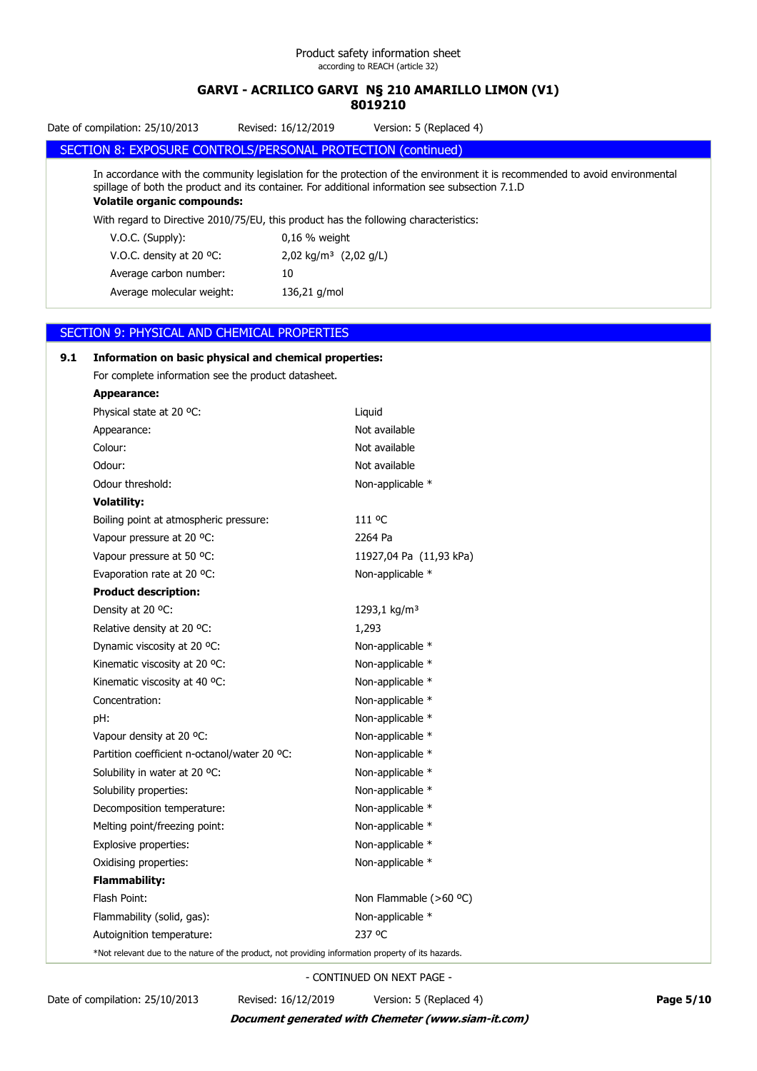Date of compilation: 25/10/2013 Revised: 16/12/2019 Version: 5 (Replaced 4)

### SECTION 8: EXPOSURE CONTROLS/PERSONAL PROTECTION (continued)

In accordance with the community legislation for the protection of the environment it is recommended to avoid environmental spillage of both the product and its container. For additional information see subsection 7.1.D **Volatile organic compounds:**

With regard to Directive 2010/75/EU, this product has the following characteristics:

| $V.O.C.$ (Supply):                 | $0.16$ % weight                   |
|------------------------------------|-----------------------------------|
| V.O.C. density at 20 $^{\circ}$ C: | 2,02 kg/m <sup>3</sup> (2,02 g/L) |
| Average carbon number:             | 10                                |
| Average molecular weight:          | 136,21 g/mol                      |
|                                    |                                   |

### SECTION 9: PHYSICAL AND CHEMICAL PROPERTIES

# **9.1 Information on basic physical and chemical properties:** For complete information see the product datasheet. **Appearance:** Physical state at 20 °C: Liquid Appearance: Not available Colour: Not available Odour: Not available Odour threshold: Non-applicable \* **Volatility:** Boiling point at atmospheric pressure: 111 °C Vapour pressure at 20 °C: 2264 Pa Vapour pressure at 50 °C: 11927,04 Pa (11,93 kPa) Evaporation rate at 20 °C: Non-applicable \* **Product description:** Density at 20 °C: 1293,1 kg/m<sup>3</sup> Relative density at 20  $^{\circ}$ C: 1,293 Dynamic viscosity at 20 °C: Non-applicable \* Kinematic viscosity at 20 °C: Non-applicable \* Kinematic viscosity at 40 °C:  $\blacksquare$  Non-applicable  $*$ Concentration: Non-applicable \* pH:  $D$ Vapour density at 20 °C: Non-applicable \* Partition coefficient n-octanol/water 20 °C: Non-applicable \* Solubility in water at 20 °C: Non-applicable \* Solubility properties: Non-applicable \* Decomposition temperature: Non-applicable \* Melting point/freezing point: Non-applicable \* Explosive properties: Non-applicable \* Oxidising properties: Non-applicable \* **Flammability:** Flash Point: Non Flammable (>60 °C) Flammability (solid, gas): Non-applicable \* Autoignition temperature: 237 °C \*Not relevant due to the nature of the product, not providing information property of its hazards.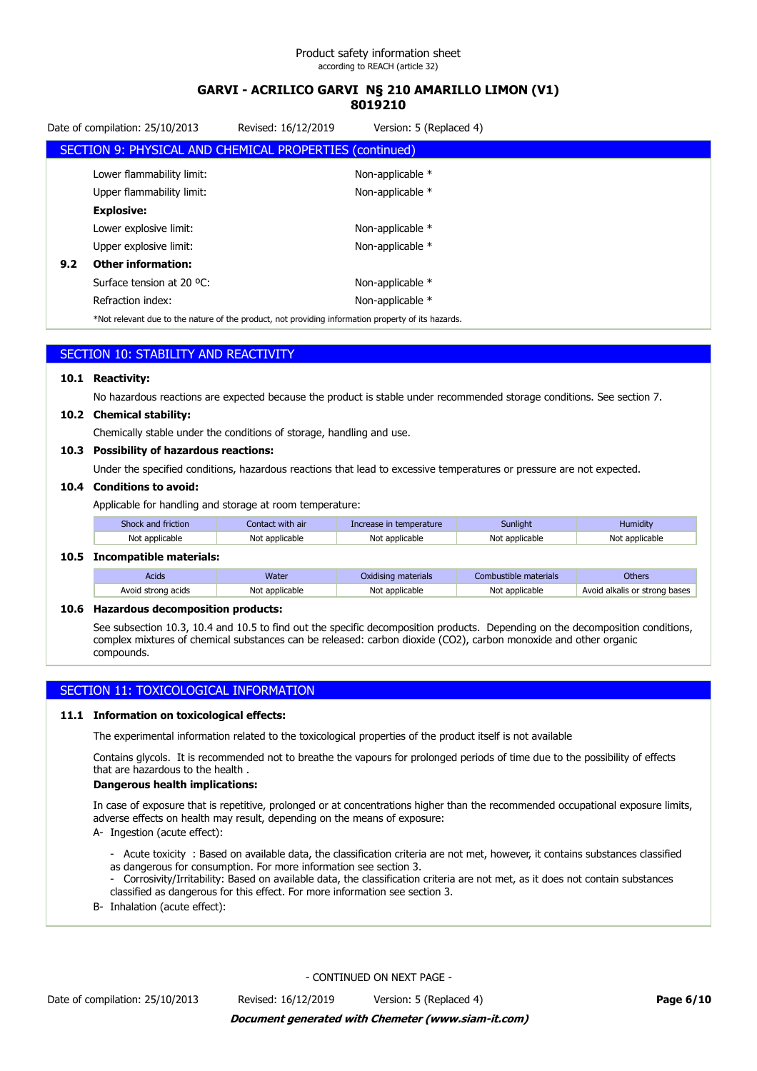|     | Date of compilation: 25/10/2013                         | Revised: 16/12/2019                                                                                     | Version: 5 (Replaced 4) |  |
|-----|---------------------------------------------------------|---------------------------------------------------------------------------------------------------------|-------------------------|--|
|     | SECTION 9: PHYSICAL AND CHEMICAL PROPERTIES (continued) |                                                                                                         |                         |  |
|     | Lower flammability limit:                               |                                                                                                         | Non-applicable *        |  |
|     | Upper flammability limit:                               |                                                                                                         | Non-applicable *        |  |
|     | <b>Explosive:</b>                                       |                                                                                                         |                         |  |
|     | Lower explosive limit:                                  |                                                                                                         | Non-applicable *        |  |
|     | Upper explosive limit:                                  |                                                                                                         | Non-applicable *        |  |
| 9.2 | <b>Other information:</b>                               |                                                                                                         |                         |  |
|     | Surface tension at 20 °C:                               |                                                                                                         | Non-applicable *        |  |
|     | Refraction index:                                       |                                                                                                         | Non-applicable *        |  |
|     |                                                         | Allah dalam sahijing ka kha mahing af kha sunglish mahinggildhan lafangsatlan sungasihi af lha hawanda. |                         |  |

Not relevant due to the nature of the product, not providing information property of its hazards.

| SECTION 10: STABILITY AND REACTIVITY |
|--------------------------------------|
|                                      |

### **10.1 Reactivity:**

No hazardous reactions are expected because the product is stable under recommended storage conditions. See section 7.

### **10.2 Chemical stability:**

Chemically stable under the conditions of storage, handling and use.

### **10.3 Possibility of hazardous reactions:**

Under the specified conditions, hazardous reactions that lead to excessive temperatures or pressure are not expected.

#### **10.4 Conditions to avoid:**

Applicable for handling and storage at room temperature:

| Shock and friction | Contact with air        | crease in temperature | Sunliaht       | Humidity       |
|--------------------|-------------------------|-----------------------|----------------|----------------|
| Not applicable     | <sup>.</sup> applicable | Not applicable        | Not applicable | Not applicable |
|                    |                         |                       |                |                |

#### **10.5 Incompatible materials:**

| Acids              | Water          | Oxidising materials | e materials<br>)ustible.<br>nml | Others                        |
|--------------------|----------------|---------------------|---------------------------------|-------------------------------|
| Avoid strong acids | Not applicable | : applicable<br>N∩t | Not applicable                  | Avoid alkalis or strong bases |

### **10.6 Hazardous decomposition products:**

See subsection 10.3, 10.4 and 10.5 to find out the specific decomposition products. Depending on the decomposition conditions, complex mixtures of chemical substances can be released: carbon dioxide (CO2), carbon monoxide and other organic compounds.

### SECTION 11: TOXICOLOGICAL INFORMATION

#### **11.1 Information on toxicological effects:**

The experimental information related to the toxicological properties of the product itself is not available

Contains glycols. It is recommended not to breathe the vapours for prolonged periods of time due to the possibility of effects that are hazardous to the health .

### **Dangerous health implications:**

In case of exposure that is repetitive, prolonged or at concentrations higher than the recommended occupational exposure limits, adverse effects on health may result, depending on the means of exposure:

- A- Ingestion (acute effect):
	- Acute toxicity : Based on available data, the classification criteria are not met, however, it contains substances classified as dangerous for consumption. For more information see section 3.
	- Corrosivity/Irritability: Based on available data, the classification criteria are not met, as it does not contain substances classified as dangerous for this effect. For more information see section 3.
- B- Inhalation (acute effect):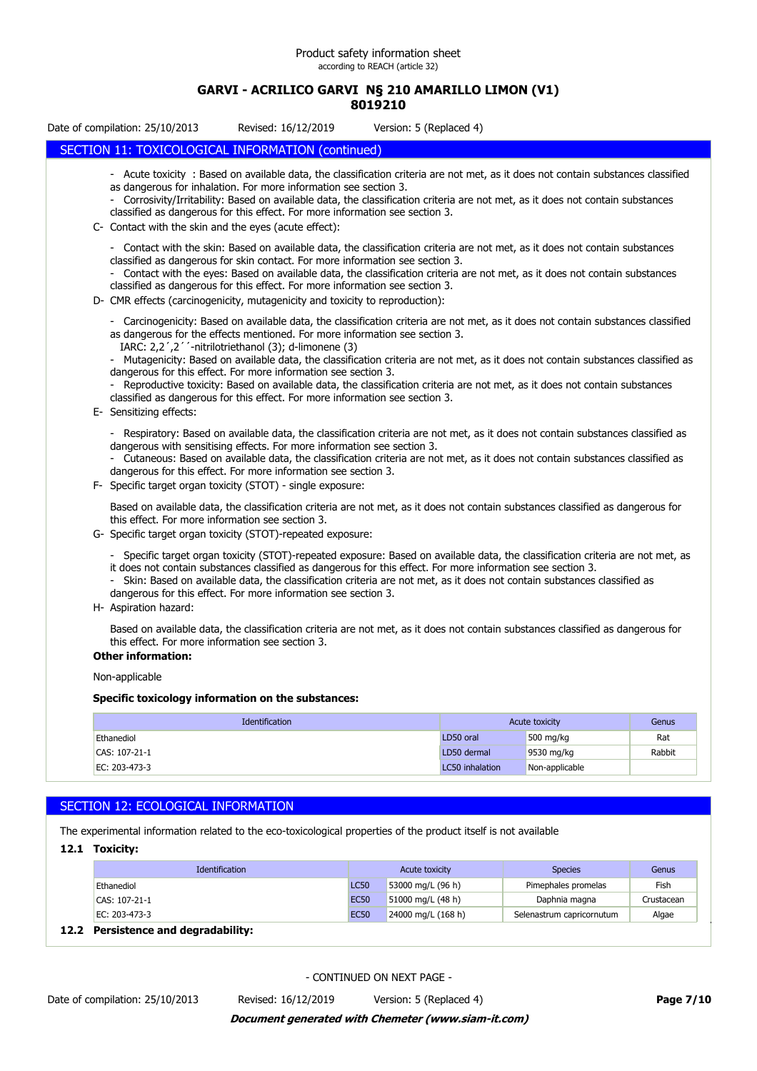### **GARVI - ACRILICO GARVI N§ 210 AMARILLO LIMON (V1) 8019210**

Date of compilation: 25/10/2013 Revised: 16/12/2019 Version: 5 (Replaced 4) SECTION 11: TOXICOLOGICAL INFORMATION (continued) - Acute toxicity : Based on available data, the classification criteria are not met, as it does not contain substances classified as dangerous for inhalation. For more information see section 3. - Corrosivity/Irritability: Based on available data, the classification criteria are not met, as it does not contain substances classified as dangerous for this effect. For more information see section 3. C- Contact with the skin and the eyes (acute effect): - Contact with the skin: Based on available data, the classification criteria are not met, as it does not contain substances classified as dangerous for skin contact. For more information see section 3. - Contact with the eyes: Based on available data, the classification criteria are not met, as it does not contain substances classified as dangerous for this effect. For more information see section 3. D- CMR effects (carcinogenicity, mutagenicity and toxicity to reproduction): - Carcinogenicity: Based on available data, the classification criteria are not met, as it does not contain substances classified as dangerous for the effects mentioned. For more information see section 3. IARC: 2,2´,2´´-nitrilotriethanol (3); d-limonene (3) - Mutagenicity: Based on available data, the classification criteria are not met, as it does not contain substances classified as dangerous for this effect. For more information see section 3. Reproductive toxicity: Based on available data, the classification criteria are not met, as it does not contain substances classified as dangerous for this effect. For more information see section 3. E- Sensitizing effects: - Respiratory: Based on available data, the classification criteria are not met, as it does not contain substances classified as dangerous with sensitising effects. For more information see section 3. - Cutaneous: Based on available data, the classification criteria are not met, as it does not contain substances classified as dangerous for this effect. For more information see section 3. F- Specific target organ toxicity (STOT) - single exposure: Based on available data, the classification criteria are not met, as it does not contain substances classified as dangerous for this effect. For more information see section 3. G- Specific target organ toxicity (STOT)-repeated exposure: - Specific target organ toxicity (STOT)-repeated exposure: Based on available data, the classification criteria are not met, as it does not contain substances classified as dangerous for this effect. For more information see section 3. - Skin: Based on available data, the classification criteria are not met, as it does not contain substances classified as dangerous for this effect. For more information see section 3. H- Aspiration hazard: Based on available data, the classification criteria are not met, as it does not contain substances classified as dangerous for this effect. For more information see section 3. **Other information:** Non-applicable **Specific toxicology information on the substances: Identification Acute toxicity** Genus Control of the Acute toxicity Genus Control of Genus Ethanediol LD50 oral 500 mg/kg Rat CAS: 107-21-1 LD50 dermal 9530 mg/kg Rabbit

### SECTION 12: ECOLOGICAL INFORMATION

The experimental information related to the eco-toxicological properties of the product itself is not available

EC: 203-473-3 LC50 inhalation Non-applicable

**12.1 Toxicity:**

| <b>Identification</b>                 |             | Acute toxicity     | <b>Species</b>            | Genus      |
|---------------------------------------|-------------|--------------------|---------------------------|------------|
| Ethanediol                            | <b>LC50</b> | 53000 mg/L (96 h)  | Pimephales promelas       | Fish       |
| CAS: 107-21-1                         | <b>EC50</b> | 51000 mg/L (48 h)  | Daphnia magna             | Crustacean |
| EC: 203-473-3                         | <b>EC50</b> | 24000 mg/L (168 h) | Selenastrum capricornutum | Algae      |
| <b>Persistence and degradability:</b> |             |                    |                           |            |

### **12.2 Persistence and degradabil**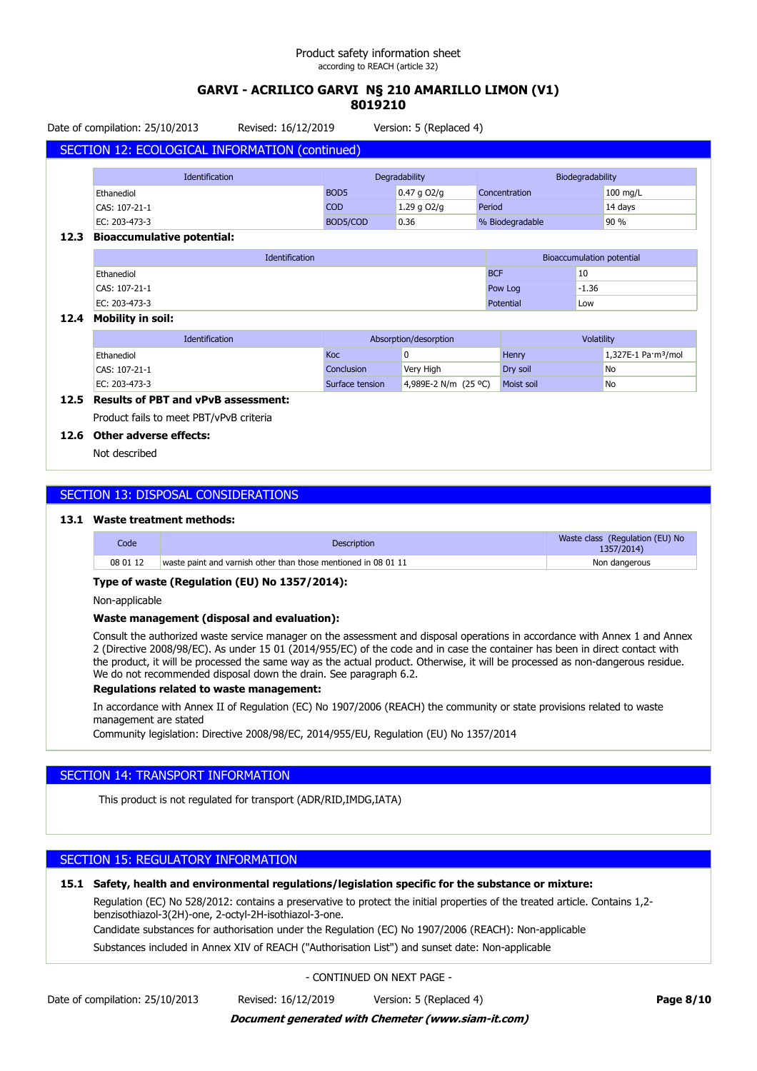# **GARVI - ACRILICO GARVI N§ 210 AMARILLO LIMON (V1) 8019210**

Date of compilation: 25/10/2013 Revised: 16/12/2019 Version: 5 (Replaced 4)

|      | SECTION 12: ECOLOGICAL INFORMATION (continued) |                                   |               |                 |          |
|------|------------------------------------------------|-----------------------------------|---------------|-----------------|----------|
|      | <b>Identification</b>                          | Degradability<br>Biodegradability |               |                 |          |
|      | Ethanediol                                     | BOD <sub>5</sub>                  | $0.47$ g O2/g | Concentration   | 100 mg/L |
|      | CAS: 107-21-1                                  | <b>COD</b>                        | 1.29 g $O2/q$ | Period          | 14 days  |
|      | EC: 203-473-3                                  | BOD5/COD                          | 0.36          | % Biodegradable | 90%      |
| 12.3 | <b>Bioaccumulative potential:</b>              |                                   |               |                 |          |

| Identification    | Bioaccumulation potential |         |
|-------------------|---------------------------|---------|
| Ethanediol        | <b>BCF</b>                | 10      |
| CAS: 107-21-1     | Pow Log                   | $-1.36$ |
| EC: 203-473-3     | Potential                 | Low     |
| Mahility in cail: |                           |         |

### **12.4 Mobility in soil:**

| <b>Identification</b> | Absorption/desorption |                        | <b>Volatility</b> |                                           |
|-----------------------|-----------------------|------------------------|-------------------|-------------------------------------------|
| Ethanediol            | Koc                   |                        | Henry             | $1,327E-1$ Pa $\cdot$ m <sup>3</sup> /mol |
| $  CAS: 107-21-1 $    | Conclusion            | Very High              | Drv soil          | No                                        |
| EC: 203-473-3         | Surface tension       | 4,989E-2 N/m $(25 °C)$ | <b>Moist soil</b> | No                                        |

# **12.5 Results of PBT and vPvB assessment:**

Product fails to meet PBT/vPvB criteria

### **12.6 Other adverse effects:**

Not described

### SECTION 13: DISPOSAL CONSIDERATIONS

#### **13.1 Waste treatment methods:**

| Code     | <b>Description</b>                                             | Waste class (Regulation (EU) No<br>1357/2014) |
|----------|----------------------------------------------------------------|-----------------------------------------------|
| 08 01 12 | waste paint and varnish other than those mentioned in 08 01 11 | Non dangerous                                 |

#### **Type of waste (Regulation (EU) No 1357/2014):**

Non-applicable

### **Waste management (disposal and evaluation):**

Consult the authorized waste service manager on the assessment and disposal operations in accordance with Annex 1 and Annex 2 (Directive 2008/98/EC). As under 15 01 (2014/955/EC) of the code and in case the container has been in direct contact with the product, it will be processed the same way as the actual product. Otherwise, it will be processed as non-dangerous residue. We do not recommended disposal down the drain. See paragraph 6.2.

#### **Regulations related to waste management:**

In accordance with Annex II of Regulation (EC) No 1907/2006 (REACH) the community or state provisions related to waste management are stated

Community legislation: Directive 2008/98/EC, 2014/955/EU, Regulation (EU) No 1357/2014

### SECTION 14: TRANSPORT INFORMATION

This product is not regulated for transport (ADR/RID,IMDG,IATA)

### SECTION 15: REGULATORY INFORMATION

### **15.1 Safety, health and environmental regulations/legislation specific for the substance or mixture:**

Regulation (EC) No 528/2012: contains a preservative to protect the initial properties of the treated article. Contains 1,2 benzisothiazol-3(2H)-one, 2-octyl-2H-isothiazol-3-one.

Candidate substances for authorisation under the Regulation (EC) No 1907/2006 (REACH): Non-applicable

Substances included in Annex XIV of REACH ("Authorisation List") and sunset date: Non-applicable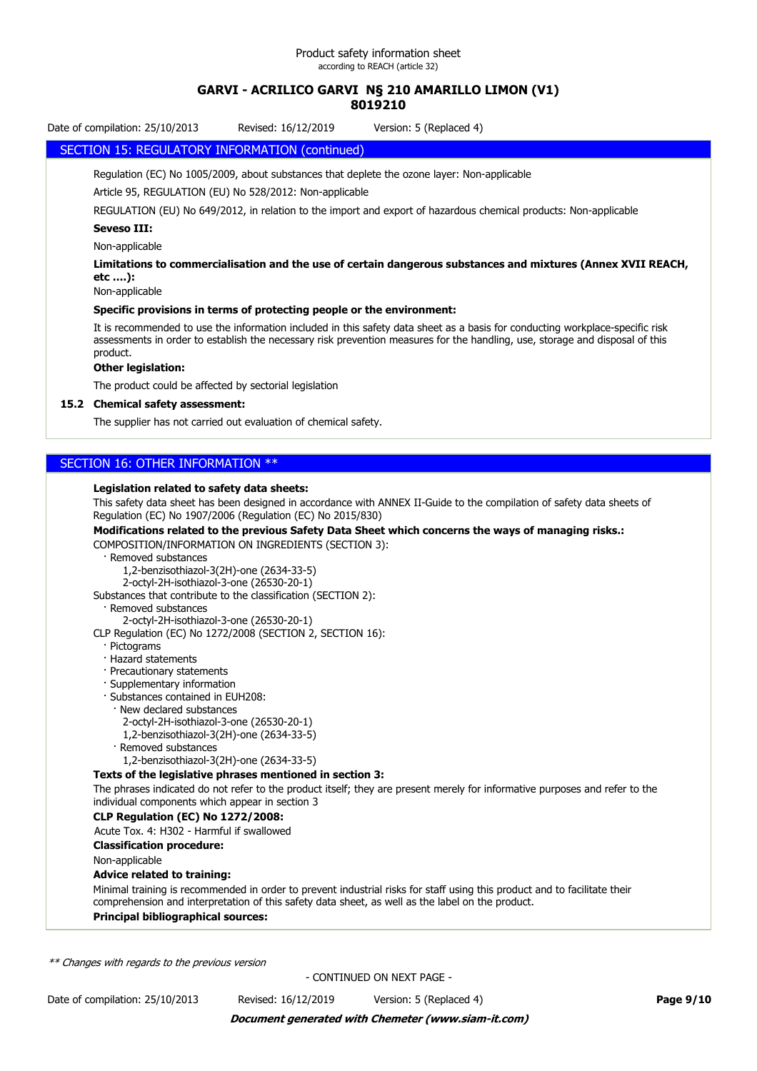# **8019210**

Date of compilation: 25/10/2013 Revised: 16/12/2019 Version: 5 (Replaced 4)

### SECTION 15: REGULATORY INFORMATION (continued)

Regulation (EC) No 1005/2009, about substances that deplete the ozone layer: Non-applicable

Article 95, REGULATION (EU) No 528/2012: Non-applicable

REGULATION (EU) No 649/2012, in relation to the import and export of hazardous chemical products: Non-applicable

### **Seveso III:**

Non-applicable

**Limitations to commercialisation and the use of certain dangerous substances and mixtures (Annex XVII REACH, etc ….):**

Non-applicable

### **Specific provisions in terms of protecting people or the environment:**

It is recommended to use the information included in this safety data sheet as a basis for conducting workplace-specific risk assessments in order to establish the necessary risk prevention measures for the handling, use, storage and disposal of this product.

### **Other legislation:**

The product could be affected by sectorial legislation

### **15.2 Chemical safety assessment:**

The supplier has not carried out evaluation of chemical safety.

### SECTION 16: OTHER INFORMATION \*\*

#### **Legislation related to safety data sheets:**

This safety data sheet has been designed in accordance with ANNEX II-Guide to the compilation of safety data sheets of Regulation (EC) No 1907/2006 (Regulation (EC) No 2015/830)

**Modifications related to the previous Safety Data Sheet which concerns the ways of managing risks.:** COMPOSITION/INFORMATION ON INGREDIENTS (SECTION 3):

· Removed substances

1,2-benzisothiazol-3(2H)-one (2634-33-5)

2-octyl-2H-isothiazol-3-one (26530-20-1)

Substances that contribute to the classification (SECTION 2):

· Removed substances

2-octyl-2H-isothiazol-3-one (26530-20-1)

CLP Regulation (EC) No 1272/2008 (SECTION 2, SECTION 16):

- · Pictograms
- · Hazard statements
- · Precautionary statements
- · Supplementary information
- · Substances contained in EUH208:
- · New declared substances
	- 2-octyl-2H-isothiazol-3-one (26530-20-1)
	- 1,2-benzisothiazol-3(2H)-one (2634-33-5)
- · Removed substances
- 1,2-benzisothiazol-3(2H)-one (2634-33-5)

### **Texts of the legislative phrases mentioned in section 3:**

The phrases indicated do not refer to the product itself; they are present merely for informative purposes and refer to the individual components which appear in section 3

### **CLP Regulation (EC) No 1272/2008:**

Acute Tox. 4: H302 - Harmful if swallowed

**Classification procedure:**

Non-applicable

### **Advice related to training:**

Minimal training is recommended in order to prevent industrial risks for staff using this product and to facilitate their comprehension and interpretation of this safety data sheet, as well as the label on the product. **Principal bibliographical sources:**

*\*\* Changes with regards to the previous version*